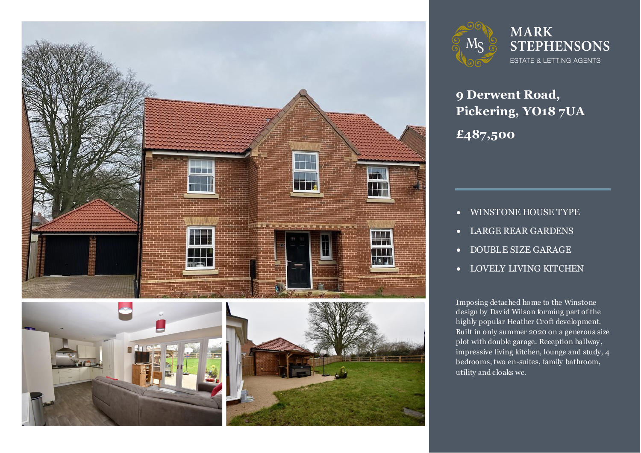



**9 Derwent Road, Pickering, YO18 7UA £487,500**

- WINSTONE HOUSE TYPE
- LARGE REAR GARDENS
- **DOUBLE SIZE GARAGE**
- LOVELY LIVING KITCHEN

Imposing detached home to the Winstone<br>design by David Wilson forming part of the highly popular Heather Croft development.<br>Built in only summer 2020 on a generous size Imposing detached home to the Winstone highly popular Heather Croft development. plot with double garage. Reception hallway , impressive living kitchen, lounge and study, 4 bedrooms, two en-suites, family bathroom, utility and cloaks wc.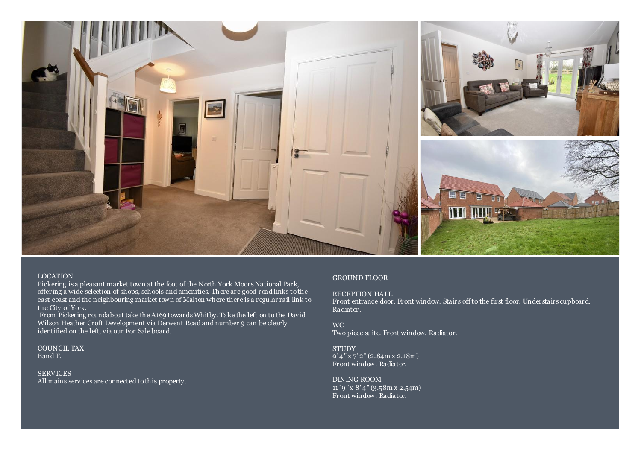

### LOCATION

Pickering is a pleasant market town at the foot of the North York Moors National Park, offering a wide selection of shops, schools and amenities. There are good road links to the east coast and the neighbouring market town of Malton where there is a regular rail link to the City of York.

From Pickering roundabout take the A169 towards Whitby. Take the left on to the David Wilson Heather Croft Development via Derwent Road and number 9 can be clearly identified on the left, via our For Sale board.

COUNCIL TAX Band F.

SERVICES All mains services are connected to this property.

### GROUND FLOOR

RECEPTION HALL

Front entrance door. Front window. Stairs off to the first floor. Understairs cupboard. Radiator.

WC Two piece suite. Front window. Radiator.

**STUDY**  $9'4''$  x 7' 2" (2.84m x 2.18m) Front window. Radiator.

DINING ROOM  $11'9''$  x  $8'4''$  (3.58m x 2.54m) Front window. Radiator.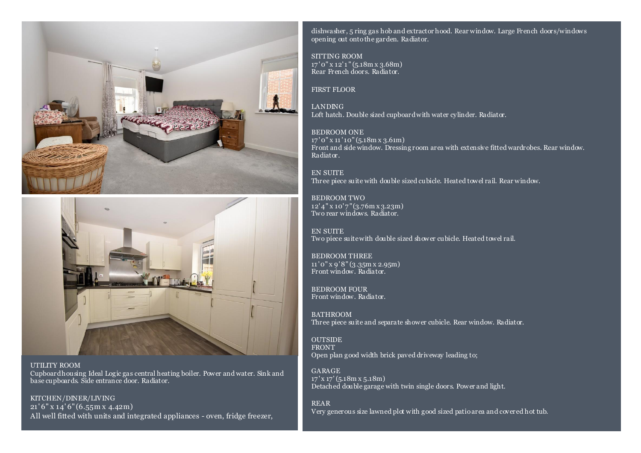



UTILITY ROOM Cupboard housing Ideal Logic gas central heating boiler. Power and water. Sink and base cupboards. Side entrance door. Radiator.

KITCHEN/DINER/LIVING 21' 6" x 14' 6" (6.55m x 4.42m) All well fitted with units and integrated appliances - oven, fridge freezer, dishwasher, 5 ring gas hob and extractor hood. Rear window. Large French doors/windows opening out onto the garden. Radiator.

SITTING ROOM 17 ' 0" x 12' 1 " (5.18m x 3.68m) Rear French doors. Radiator.

FIRST FLOOR

LANDING Loft hatch. Double sized cupboard with water cylinder. Radiator.

BEDROOM ONE  $17'$  0" x  $11'$  10" (5.18m x 3.61m) Front and side window. Dressing room area with extensive fitted wardrobes. Rear window. Radiator.

EN SUITE Three piece suite with double sized cubicle. Heated towel rail. Rear window.

BEDROOM TWO 12' 4" x 10' 7" (3.76m x 3.23m) Two rear windows. Radiator.

EN SUITE Two piece suite with double sized shower cubicle. Heated towel rail.

BEDROOM THREE 11 ' 0" x 9' 8" (3.35m x 2.95m) Front window. Radiator.

BEDROOM FOUR Front window. Radiator.

BATHROOM Three piece suite and separate shower cubicle. Rear window. Radiator.

**OUTSIDE** FRONT Open plan good width brick paved driveway leading to;

GARAGE  $17'$  x  $17'$  (5.18m x 5.18m) Detached double garage with twin single doors. Power and light.

REAR Very generous size lawned plot with good sized patio area and covered hot tub.